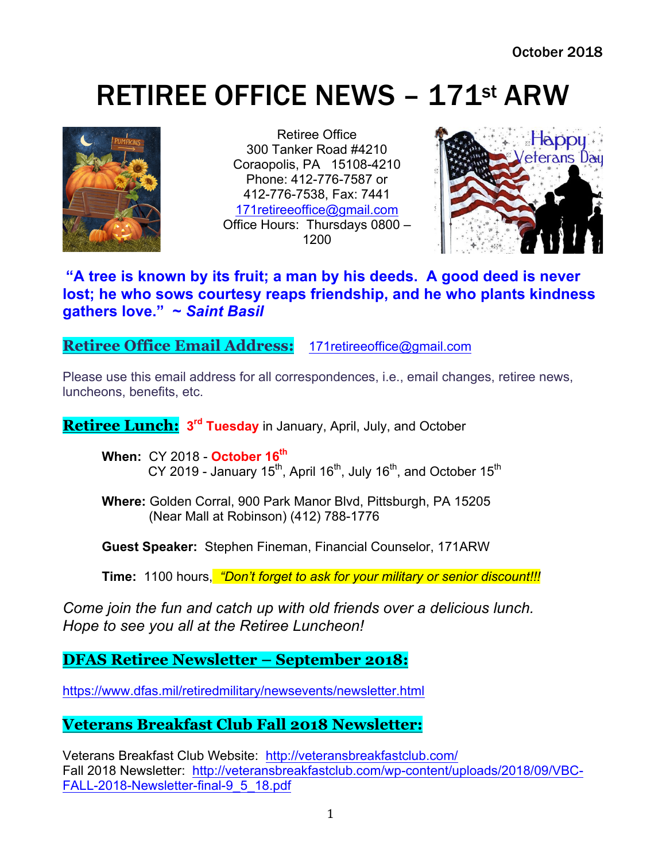# RETIREE OFFICE NEWS – 171st ARW



Retiree Office 300 Tanker Road #4210 Coraopolis, PA 15108-4210 Phone: 412-776-7587 or 412-776-7538, Fax: 7441 171retireeoffice@gmail.com Office Hours: Thursdays 0800 – 1200



## **"A tree is known by its fruit; a man by his deeds. A good deed is never lost; he who sows courtesy reaps friendship, and he who plants kindness gathers love." ~** *Saint Basil*

**Retiree Office Email Address:** 171retireeoffice@gmail.com

Please use this email address for all correspondences, i.e., email changes, retiree news, luncheons, benefits, etc.

**Retiree Lunch: 3rd Tuesday** in January, April, July, and October

**When:** CY 2018 - **October 16th** CY 2019 - January 15<sup>th</sup>, April 16<sup>th</sup>, July 16<sup>th</sup>, and October 15<sup>th</sup>

**Where:** Golden Corral, 900 Park Manor Blvd, Pittsburgh, PA 15205 (Near Mall at Robinson) (412) 788-1776

**Guest Speaker:** Stephen Fineman, Financial Counselor, 171ARW

**Time:** 1100 hours, *"Don't forget to ask for your military or senior discount!!!*

*Come join the fun and catch up with old friends over a delicious lunch. Hope to see you all at the Retiree Luncheon!*

**DFAS Retiree Newsletter – September 2018:**

https://www.dfas.mil/retiredmilitary/newsevents/newsletter.html

# **Veterans Breakfast Club Fall 2018 Newsletter:**

Veterans Breakfast Club Website: http://veteransbreakfastclub.com/ Fall 2018 Newsletter: http://veteransbreakfastclub.com/wp-content/uploads/2018/09/VBC-FALL-2018-Newsletter-final-9\_5\_18.pdf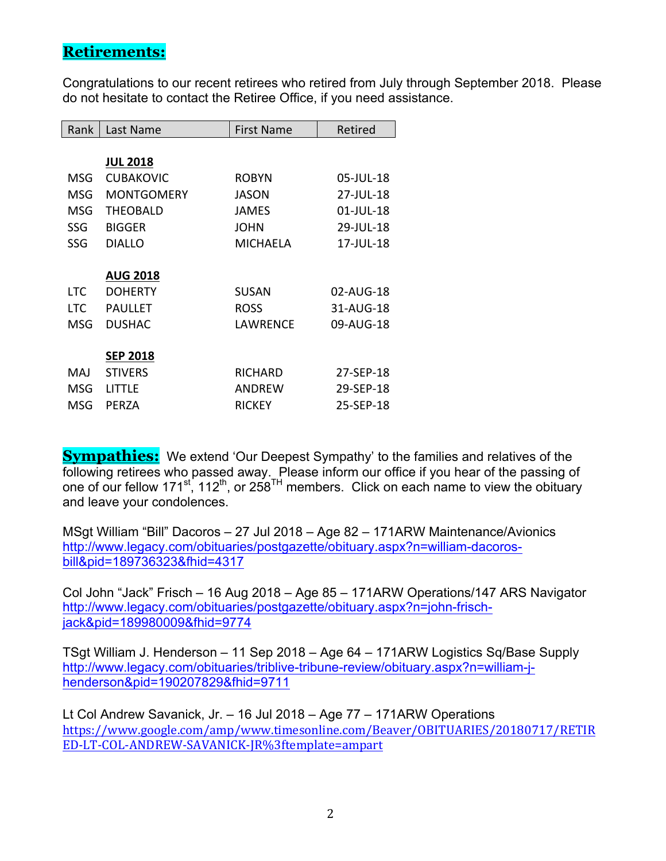## **Retirements:**

Congratulations to our recent retirees who retired from July through September 2018. Please do not hesitate to contact the Retiree Office, if you need assistance.

| Rank       | Last Name         | <b>First Name</b> | Retired   |
|------------|-------------------|-------------------|-----------|
|            |                   |                   |           |
|            | <b>JUL 2018</b>   |                   |           |
| MSG        | <b>CUBAKOVIC</b>  | <b>ROBYN</b>      | 05-JUL-18 |
| MSG        | <b>MONTGOMERY</b> | <b>JASON</b>      | 27-JUL-18 |
| MSG        | <b>THEOBALD</b>   | JAMES             | 01-JUL-18 |
| <b>SSG</b> | <b>BIGGER</b>     | <b>JOHN</b>       | 29-JUL-18 |
| SSG        | <b>DIALLO</b>     | <b>MICHAELA</b>   | 17-JUL-18 |
|            |                   |                   |           |
|            | <b>AUG 2018</b>   |                   |           |
| <b>LTC</b> | <b>DOHERTY</b>    | <b>SUSAN</b>      | 02-AUG-18 |
| <b>LTC</b> | <b>PAULLET</b>    | <b>ROSS</b>       | 31-AUG-18 |
| MSG        | <b>DUSHAC</b>     | LAWRFNCF          | 09-AUG-18 |
|            |                   |                   |           |
|            | <b>SEP 2018</b>   |                   |           |
| MAJ        | <b>STIVERS</b>    | <b>RICHARD</b>    | 27-SEP-18 |
| MSG        | LITTLE            | ANDREW            | 29-SEP-18 |
| MSG        | PERZA             | <b>RICKEY</b>     | 25-SEP-18 |

**Sympathies:** We extend 'Our Deepest Sympathy' to the families and relatives of the following retirees who passed away. Please inform our office if you hear of the passing of one of our fellow 171st, 112th, or 258TH members. Click on each name to view the obituary and leave your condolences.

MSgt William "Bill" Dacoros – 27 Jul 2018 – Age 82 – 171ARW Maintenance/Avionics http://www.legacy.com/obituaries/postgazette/obituary.aspx?n=william-dacorosbill&pid=189736323&fhid=4317

Col John "Jack" Frisch – 16 Aug 2018 – Age 85 – 171ARW Operations/147 ARS Navigator http://www.legacy.com/obituaries/postgazette/obituary.aspx?n=john-frischjack&pid=189980009&fhid=9774

TSgt William J. Henderson – 11 Sep 2018 – Age 64 – 171ARW Logistics Sq/Base Supply http://www.legacy.com/obituaries/triblive-tribune-review/obituary.aspx?n=william-jhenderson&pid=190207829&fhid=9711

Lt Col Andrew Savanick, Jr. – 16 Jul 2018 – Age 77 – 171ARW Operations https://www.google.com/amp/www.timesonline.com/Beaver/OBITUARIES/20180717/RETIR ED-LT-COL-ANDREW-SAVANICK-JR%3ftemplate=ampart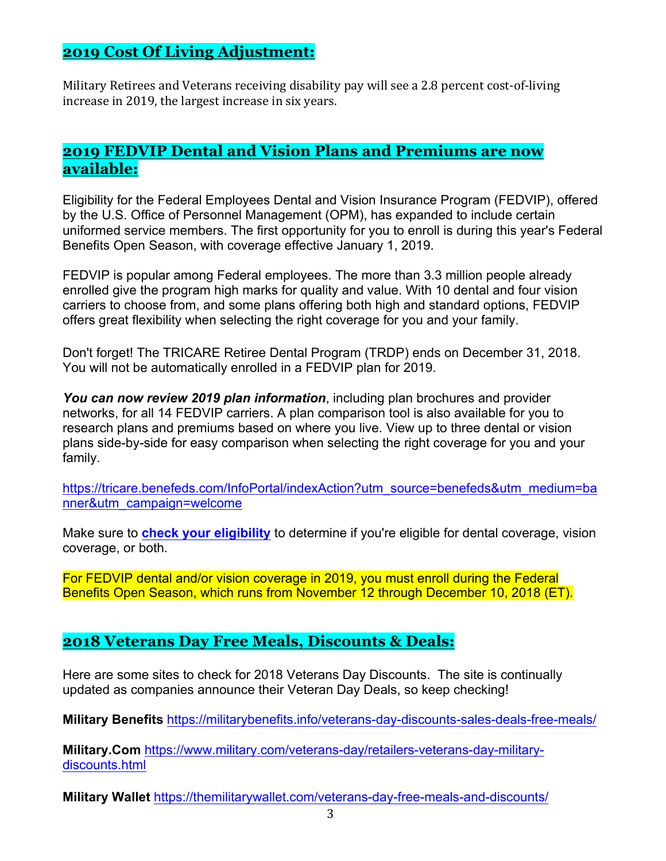## **2019 Cost Of Living Adjustment:**

Military Retirees and Veterans receiving disability pay will see a 2.8 percent cost-of-living increase in 2019, the largest increase in six years.

## **2019 FEDVIP Dental and Vision Plans and Premiums are now available:**

Eligibility for the Federal Employees Dental and Vision Insurance Program (FEDVIP), offered by the U.S. Office of Personnel Management (OPM), has expanded to include certain uniformed service members. The first opportunity for you to enroll is during this year's Federal Benefits Open Season, with coverage effective January 1, 2019.

FEDVIP is popular among Federal employees. The more than 3.3 million people already enrolled give the program high marks for quality and value. With 10 dental and four vision carriers to choose from, and some plans offering both high and standard options, FEDVIP offers great flexibility when selecting the right coverage for you and your family.

Don't forget! The TRICARE Retiree Dental Program (TRDP) ends on December 31, 2018. You will not be automatically enrolled in a FEDVIP plan for 2019.

*You can now review 2019 plan information*, including plan brochures and provider networks, for all 14 FEDVIP carriers. A plan comparison tool is also available for you to research plans and premiums based on where you live. View up to three dental or vision plans side-by-side for easy comparison when selecting the right coverage for you and your family.

https://tricare.benefeds.com/InfoPortal/indexAction?utm\_source=benefeds&utm\_medium=ba nner&utm\_campaign=welcome

Make sure to **check your eligibility** to determine if you're eligible for dental coverage, vision coverage, or both.

For FEDVIP dental and/or vision coverage in 2019, you must enroll during the Federal Benefits Open Season, which runs from November 12 through December 10, 2018 (ET).

## **2018 Veterans Day Free Meals, Discounts & Deals:**

Here are some sites to check for 2018 Veterans Day Discounts. The site is continually updated as companies announce their Veteran Day Deals, so keep checking!

**Military Benefits** https://militarybenefits.info/veterans-day-discounts-sales-deals-free-meals/

**Military.Com** https://www.military.com/veterans-day/retailers-veterans-day-militarydiscounts.html

**Military Wallet** https://themilitarywallet.com/veterans-day-free-meals-and-discounts/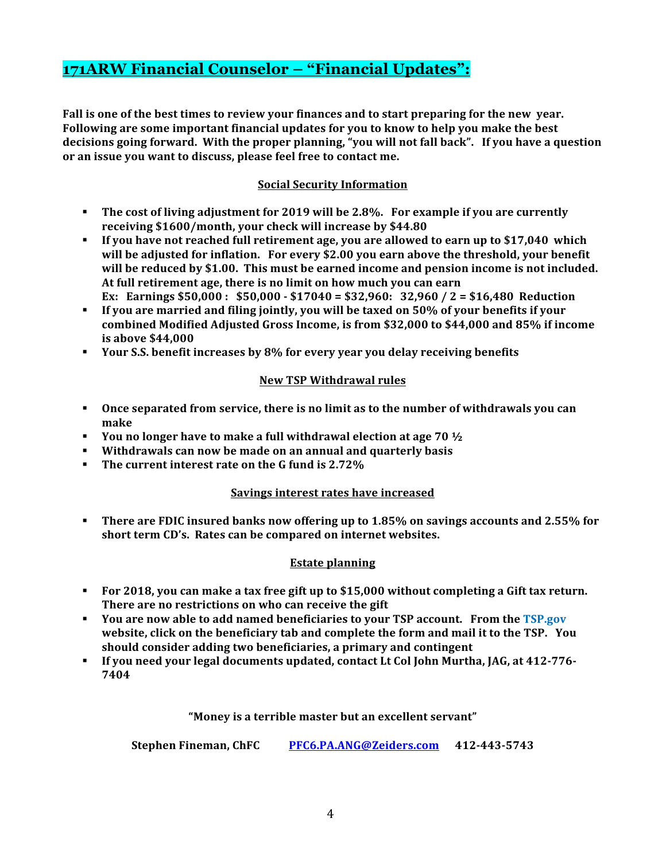## **171ARW Financial Counselor – "Financial Updates":**

**Fall is one of the best times to review your finances and to start preparing for the new year.** Following are some important financial updates for you to know to help you make the best decisions going forward. With the proper planning, "you will not fall back". If you have a question or an issue you want to discuss, please feel free to contact me.

## **Social Security Information**

- **The cost of living adjustment for 2019 will be 2.8%. For example if you are currently** receiving \$1600/month, your check will increase by \$44.80
- **•** If you have not reached full retirement age, you are allowed to earn up to \$17,040 which will be adjusted for inflation. For every \$2.00 you earn above the threshold, your benefit will be reduced by \$1.00. This must be earned income and pension income is not included. At full retirement age, there is no limit on how much you can earn **Ex:** Earnings \$50,000: \$50,000 - \$17040 = \$32,960: 32,960 / 2 = \$16,480 Reduction
- **•** If you are married and filing jointly, you will be taxed on 50% of your benefits if your combined Modified Adjusted Gross Income, is from \$32,000 to \$44,000 and 85% if income **is above \$44,000**
- **•** Your S.S. benefit increases by 8% for every year you delay receiving benefits

#### **New TSP Withdrawal rules**

- **Once separated from service, there is no limit as to the number of withdrawals you can make**
- **•** You no longer have to make a full withdrawal election at age  $70\frac{1}{2}$
- **EXECTE:** Withdrawals can now be made on an annual and quarterly basis
- **Fig.** The current interest rate on the G fund is 2.72%

#### **Savings interest rates have increased**

**• There are FDIC insured banks now offering up to 1.85% on savings accounts and 2.55% for** short term CD's. Rates can be compared on internet websites.

## **Estate planning**

- **For 2018, you can make a tax free gift up to \$15,000 without completing a Gift tax return.** There are no restrictions on who can receive the gift
- **You are now able to add named beneficiaries to your TSP account. From the TSP.gov** website, click on the beneficiary tab and complete the form and mail it to the TSP. You should consider adding two beneficiaries, a primary and contingent
- **If you need your legal documents updated, contact Lt Col John Murtha, JAG, at 412-776-7404**

#### "Money is a terrible master but an excellent servant"

**Stephen Fineman, ChFC** PFC6.PA.ANG@Zeiders.com 412-443-5743